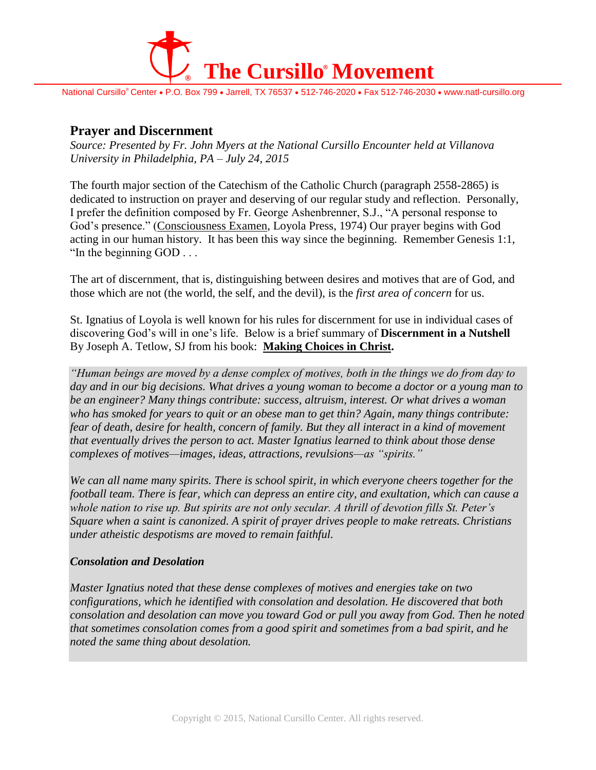

National Cursillo® Center • P.O. Box 799 • Jarrell, TX 76537 • 512-746-2020 • Fax 512-746-2030 • www.natl-cursillo.org

## **Prayer and Discernment**

*Source: Presented by Fr. John Myers at the National Cursillo Encounter held at Villanova University in Philadelphia, PA – July 24, 2015*

The fourth major section of the Catechism of the Catholic Church (paragraph 2558-2865) is dedicated to instruction on prayer and deserving of our regular study and reflection. Personally, I prefer the definition composed by Fr. George Ashenbrenner, S.J., "A personal response to God's presence." (Consciousness Examen, Loyola Press, 1974) Our prayer begins with God acting in our human history. It has been this way since the beginning. Remember Genesis 1:1, "In the beginning GOD . . .

The art of discernment, that is, distinguishing between desires and motives that are of God, and those which are not (the world, the self, and the devil), is the *first area of concern* for us.

St. Ignatius of Loyola is well known for his rules for discernment for use in individual cases of discovering God's will in one's life. Below is a brief summary of **Discernment in a Nutshell** By Joseph A. Tetlow, SJ from his book: **Making Choices in Christ.**

*"Human beings are moved by a dense complex of motives, both in the things we do from day to day and in our big decisions. What drives a young woman to become a doctor or a young man to be an engineer? Many things contribute: success, altruism, interest. Or what drives a woman who has smoked for years to quit or an obese man to get thin? Again, many things contribute: fear of death, desire for health, concern of family. But they all interact in a kind of movement that eventually drives the person to act. Master Ignatius learned to think about those dense complexes of motives—images, ideas, attractions, revulsions—as "spirits."*

*We can all name many spirits. There is school spirit, in which everyone cheers together for the football team. There is fear, which can depress an entire city, and exultation, which can cause a whole nation to rise up. But spirits are not only secular. A thrill of devotion fills St. Peter's Square when a saint is canonized. A spirit of prayer drives people to make retreats. Christians under atheistic despotisms are moved to remain faithful.*

## *Consolation and Desolation*

*Master Ignatius noted that these dense complexes of motives and energies take on two configurations, which he identified with consolation and desolation. He discovered that both consolation and desolation can move you toward God or pull you away from God. Then he noted that sometimes consolation comes from a good spirit and sometimes from a bad spirit, and he noted the same thing about desolation.*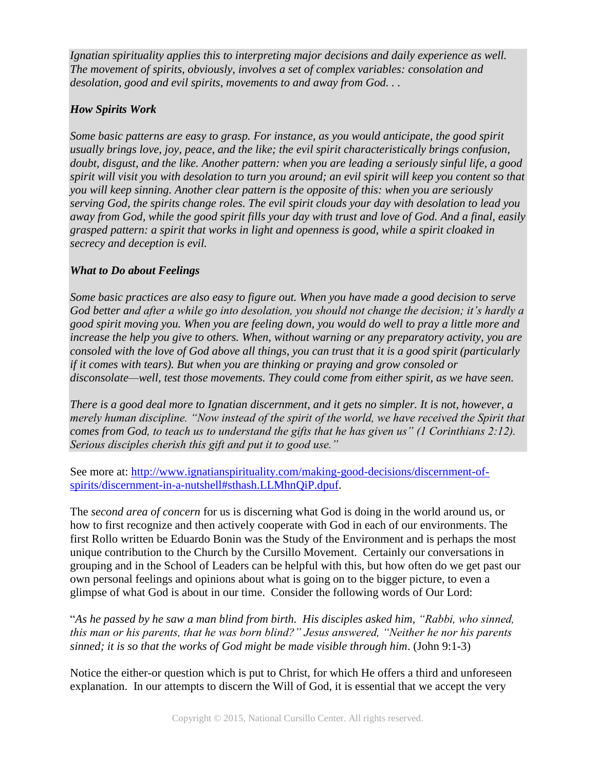*Ignatian spirituality applies this to interpreting major decisions and daily experience as well. The movement of spirits, obviously, involves a set of complex variables: consolation and desolation, good and evil spirits, movements to and away from God. . .*

## *How Spirits Work*

*Some basic patterns are easy to grasp. For instance, as you would anticipate, the good spirit usually brings love, joy, peace, and the like; the evil spirit characteristically brings confusion, doubt, disgust, and the like. Another pattern: when you are leading a seriously sinful life, a good spirit will visit you with desolation to turn you around; an evil spirit will keep you content so that you will keep sinning. Another clear pattern is the opposite of this: when you are seriously serving God, the spirits change roles. The evil spirit clouds your day with desolation to lead you away from God, while the good spirit fills your day with trust and love of God. And a final, easily grasped pattern: a spirit that works in light and openness is good, while a spirit cloaked in secrecy and deception is evil.*

## *What to Do about Feelings*

*Some basic practices are also easy to figure out. When you have made a good decision to serve God better and after a while go into desolation, you should not change the decision; it's hardly a good spirit moving you. When you are feeling down, you would do well to pray a little more and increase the help you give to others. When, without warning or any preparatory activity, you are consoled with the love of God above all things, you can trust that it is a good spirit (particularly if it comes with tears). But when you are thinking or praying and grow consoled or disconsolate—well, test those movements. They could come from either spirit, as we have seen.*

*There is a good deal more to Ignatian discernment, and it gets no simpler. It is not, however, a merely human discipline. "Now instead of the spirit of the world, we have received the Spirit that comes from God, to teach us to understand the gifts that he has given us" (1 Corinthians 2:12). Serious disciples cherish this gift and put it to good use."*

See more at: [http://www.ignatianspirituality.com/making-good-decisions/discernment-of](http://www.ignatianspirituality.com/making-good-decisions/discernment-of-spirits/discernment-in-a-nutshell#sthash.LLMhnQiP.dpuf)[spirits/discernment-in-a-nutshell#sthash.LLMhnQiP.dpuf.](http://www.ignatianspirituality.com/making-good-decisions/discernment-of-spirits/discernment-in-a-nutshell#sthash.LLMhnQiP.dpuf)

The *second area of concern* for us is discerning what God is doing in the world around us, or how to first recognize and then actively cooperate with God in each of our environments. The first Rollo written be Eduardo Bonin was the Study of the Environment and is perhaps the most unique contribution to the Church by the Cursillo Movement. Certainly our conversations in grouping and in the School of Leaders can be helpful with this, but how often do we get past our own personal feelings and opinions about what is going on to the bigger picture, to even a glimpse of what God is about in our time. Consider the following words of Our Lord:

"*As he passed by he saw a man blind from birth. His disciples asked him, "Rabbi, who sinned, this man or his parents, that he was born blind?" Jesus answered, "Neither he nor his parents sinned; it is so that the works of God might be made visible through him*. (John 9:1-3)

Notice the either-or question which is put to Christ, for which He offers a third and unforeseen explanation. In our attempts to discern the Will of God, it is essential that we accept the very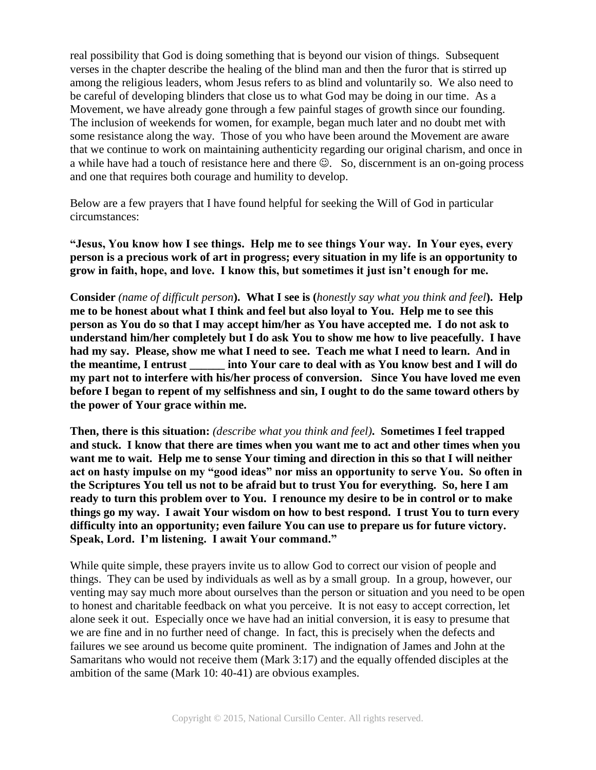real possibility that God is doing something that is beyond our vision of things. Subsequent verses in the chapter describe the healing of the blind man and then the furor that is stirred up among the religious leaders, whom Jesus refers to as blind and voluntarily so. We also need to be careful of developing blinders that close us to what God may be doing in our time. As a Movement, we have already gone through a few painful stages of growth since our founding. The inclusion of weekends for women, for example, began much later and no doubt met with some resistance along the way. Those of you who have been around the Movement are aware that we continue to work on maintaining authenticity regarding our original charism, and once in a while have had a touch of resistance here and there  $\mathcal{O}$ . So, discernment is an on-going process and one that requires both courage and humility to develop.

Below are a few prayers that I have found helpful for seeking the Will of God in particular circumstances:

**"Jesus, You know how I see things. Help me to see things Your way. In Your eyes, every person is a precious work of art in progress; every situation in my life is an opportunity to grow in faith, hope, and love. I know this, but sometimes it just isn't enough for me.**

**Consider** *(name of difficult person***). What I see is (***honestly say what you think and feel***). Help me to be honest about what I think and feel but also loyal to You. Help me to see this person as You do so that I may accept him/her as You have accepted me. I do not ask to understand him/her completely but I do ask You to show me how to live peacefully. I have had my say. Please, show me what I need to see. Teach me what I need to learn. And in the meantime, I entrust \_\_\_\_\_\_ into Your care to deal with as You know best and I will do my part not to interfere with his/her process of conversion. Since You have loved me even before I began to repent of my selfishness and sin, I ought to do the same toward others by the power of Your grace within me.**

**Then, there is this situation:** *(describe what you think and feel)***. Sometimes I feel trapped and stuck. I know that there are times when you want me to act and other times when you want me to wait. Help me to sense Your timing and direction in this so that I will neither act on hasty impulse on my "good ideas" nor miss an opportunity to serve You. So often in the Scriptures You tell us not to be afraid but to trust You for everything. So, here I am ready to turn this problem over to You. I renounce my desire to be in control or to make things go my way. I await Your wisdom on how to best respond. I trust You to turn every difficulty into an opportunity; even failure You can use to prepare us for future victory. Speak, Lord. I'm listening. I await Your command."**

While quite simple, these prayers invite us to allow God to correct our vision of people and things. They can be used by individuals as well as by a small group. In a group, however, our venting may say much more about ourselves than the person or situation and you need to be open to honest and charitable feedback on what you perceive. It is not easy to accept correction, let alone seek it out. Especially once we have had an initial conversion, it is easy to presume that we are fine and in no further need of change. In fact, this is precisely when the defects and failures we see around us become quite prominent. The indignation of James and John at the Samaritans who would not receive them (Mark 3:17) and the equally offended disciples at the ambition of the same (Mark 10: 40-41) are obvious examples.